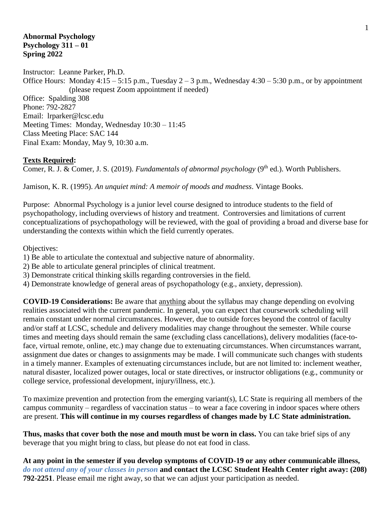### **Abnormal Psychology Psychology 311 – 01 Spring 2022**

Instructor: Leanne Parker, Ph.D. Office Hours: Monday  $4:15 - 5:15$  p.m., Tuesday  $2 - 3$  p.m., Wednesday  $4:30 - 5:30$  p.m., or by appointment (please request Zoom appointment if needed) Office: Spalding 308 Phone: 792-2827 Email: lrparker@lcsc.edu Meeting Times: Monday, Wednesday 10:30 – 11:45 Class Meeting Place: SAC 144 Final Exam: Monday, May 9, 10:30 a.m.

### **Texts Required:**

Comer, R. J. & Comer, J. S. (2019). *Fundamentals of abnormal psychology* (9<sup>th</sup> ed.). Worth Publishers.

Jamison, K. R. (1995). *An unquiet mind: A memoir of moods and madness*. Vintage Books.

Purpose: Abnormal Psychology is a junior level course designed to introduce students to the field of psychopathology, including overviews of history and treatment. Controversies and limitations of current conceptualizations of psychopathology will be reviewed, with the goal of providing a broad and diverse base for understanding the contexts within which the field currently operates.

Objectives:

- 1) Be able to articulate the contextual and subjective nature of abnormality.
- 2) Be able to articulate general principles of clinical treatment.
- 3) Demonstrate critical thinking skills regarding controversies in the field.
- 4) Demonstrate knowledge of general areas of psychopathology (e.g., anxiety, depression).

**COVID-19 Considerations:** Be aware that anything about the syllabus may change depending on evolving realities associated with the current pandemic. In general, you can expect that coursework scheduling will remain constant under normal circumstances. However, due to outside forces beyond the control of faculty and/or staff at LCSC, schedule and delivery modalities may change throughout the semester. While course times and meeting days should remain the same (excluding class cancellations), delivery modalities (face-toface, virtual remote, online, etc.) may change due to extenuating circumstances. When circumstances warrant, assignment due dates or changes to assignments may be made. I will communicate such changes with students in a timely manner. Examples of extenuating circumstances include, but are not limited to: inclement weather, natural disaster, localized power outages, local or state directives, or instructor obligations (e.g., community or college service, professional development, injury/illness, etc.).

To maximize prevention and protection from the emerging variant(s), LC State is requiring all members of the campus community – regardless of vaccination status – to wear a face covering in indoor spaces where others are present. **This will continue in my courses regardless of changes made by LC State administration.**

**Thus, masks that cover both the nose and mouth must be worn in class.** You can take brief sips of any beverage that you might bring to class, but please do not eat food in class.

**At any point in the semester if you develop symptoms of COVID-19 or any other communicable illness,**  *do not attend any of your classes in person* **and contact the LCSC Student Health Center right away: (208) 792-2251**. Please email me right away, so that we can adjust your participation as needed.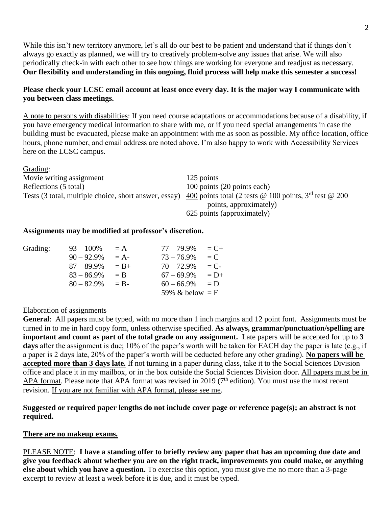While this isn't new territory anymore, let's all do our best to be patient and understand that if things don't always go exactly as planned, we will try to creatively problem-solve any issues that arise. We will also periodically check-in with each other to see how things are working for everyone and readjust as necessary. **Our flexibility and understanding in this ongoing, fluid process will help make this semester a success!**

### **Please check your LCSC email account at least once every day. It is the major way I communicate with you between class meetings.**

A note to persons with disabilities: If you need course adaptations or accommodations because of a disability, if you have emergency medical information to share with me, or if you need special arrangements in case the building must be evacuated, please make an appointment with me as soon as possible. My office location, office hours, phone number, and email address are noted above. I'm also happy to work with Accessibility Services here on the LCSC campus.

| Oraumg.                  |                                                                                                                                        |
|--------------------------|----------------------------------------------------------------------------------------------------------------------------------------|
| Movie writing assignment | 125 points                                                                                                                             |
| Reflections (5 total)    | 100 points (20 points each)                                                                                                            |
|                          | Tests (3 total, multiple choice, short answer, essay) $\frac{400}{100}$ points total (2 tests @ 100 points, 3 <sup>rd</sup> test @ 200 |
|                          | points, approximately)                                                                                                                 |
|                          | 625 points (approximately)                                                                                                             |

### **Assignments may be modified at professor's discretion.**

| Grading: | $93 - 100\%$  | $= A$   | $77 - 79.9\%$     | $C_{\pm}$ |
|----------|---------------|---------|-------------------|-----------|
|          | $90 - 92.9\%$ | $= A -$ | $73 - 76.9\%$     | $= C$     |
|          | $87 - 89.9\%$ | $= B +$ | $70 - 72.9\%$     | $= C$     |
|          | $83 - 86.9\%$ | $=$ B   | $67 - 69.9\%$     | $= D+$    |
|          | $80 - 82.9\%$ | $=$ B-  | $60 - 66.9\%$     | $= D$     |
|          |               |         | 59% & below $=$ F |           |

### Elaboration of assignments

 $C$ rading:

**General**: All papers must be typed, with no more than 1 inch margins and 12 point font. Assignments must be turned in to me in hard copy form, unless otherwise specified. **As always, grammar/punctuation/spelling are important and count as part of the total grade on any assignment.** Late papers will be accepted for up to **3 days** after the assignment is due; 10% of the paper's worth will be taken for EACH day the paper is late (e.g., if a paper is 2 days late, 20% of the paper's worth will be deducted before any other grading). **No papers will be accepted more than 3 days late.** If not turning in a paper during class, take it to the Social Sciences Division office and place it in my mailbox, or in the box outside the Social Sciences Division door. All papers must be in APA format. Please note that APA format was revised in 2019 (7<sup>th</sup> edition). You must use the most recent revision. If you are not familiar with APA format, please see me.

**Suggested or required paper lengths do not include cover page or reference page(s); an abstract is not required.**

### **There are no makeup exams.**

PLEASE NOTE: **I have a standing offer to briefly review any paper that has an upcoming due date and give you feedback about whether you are on the right track, improvements you could make, or anything else about which you have a question.** To exercise this option, you must give me no more than a 3-page excerpt to review at least a week before it is due, and it must be typed.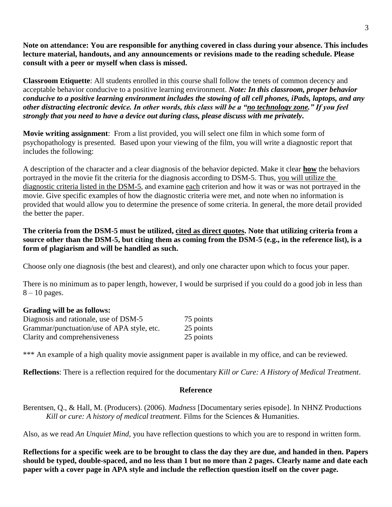**Note on attendance: You are responsible for anything covered in class during your absence. This includes lecture material, handouts, and any announcements or revisions made to the reading schedule. Please consult with a peer or myself when class is missed.**

**Classroom Etiquette**: All students enrolled in this course shall follow the tenets of common decency and acceptable behavior conducive to a positive learning environment. *Note: In this classroom, proper behavior conducive to a positive learning environment includes the stowing of all cell phones, iPads, laptops, and any other distracting electronic device. In other words, this class will be a "no technology zone." If you feel strongly that you need to have a device out during class, please discuss with me privately.*

**Movie writing assignment**: From a list provided, you will select one film in which some form of psychopathology is presented. Based upon your viewing of the film, you will write a diagnostic report that includes the following:

A description of the character and a clear diagnosis of the behavior depicted. Make it clear **how** the behaviors portrayed in the movie fit the criteria for the diagnosis according to DSM-5. Thus, you will utilize the diagnostic criteria listed in the DSM-5, and examine each criterion and how it was or was not portrayed in the movie. Give specific examples of how the diagnostic criteria were met, and note when no information is provided that would allow you to determine the presence of some criteria. In general, the more detail provided the better the paper.

**The criteria from the DSM-5 must be utilized, cited as direct quotes. Note that utilizing criteria from a source other than the DSM-5, but citing them as coming from the DSM-5 (e.g., in the reference list), is a form of plagiarism and will be handled as such.**

Choose only one diagnosis (the best and clearest), and only one character upon which to focus your paper.

There is no minimum as to paper length, however, I would be surprised if you could do a good job in less than  $8 - 10$  pages.

## **Grading will be as follows:**

| Diagnosis and rationale, use of DSM-5      | 75 points |
|--------------------------------------------|-----------|
| Grammar/punctuation/use of APA style, etc. | 25 points |
| Clarity and comprehensiveness              | 25 points |

\*\*\* An example of a high quality movie assignment paper is available in my office, and can be reviewed.

**Reflections**: There is a reflection required for the documentary *Kill or Cure: A History of Medical Treatment*.

### **Reference**

Berentsen, Q., & Hall, M. (Producers). (2006). *Madness* [Documentary series episode]. In NHNZ Productions *Kill or cure: A history of medical treatment*. Films for the Sciences & Humanities.

Also, as we read *An Unquiet Mind*, you have reflection questions to which you are to respond in written form.

**Reflections for a specific week are to be brought to class the day they are due, and handed in then. Papers should be typed, double-spaced, and no less than 1 but no more than 2 pages. Clearly name and date each paper with a cover page in APA style and include the reflection question itself on the cover page.**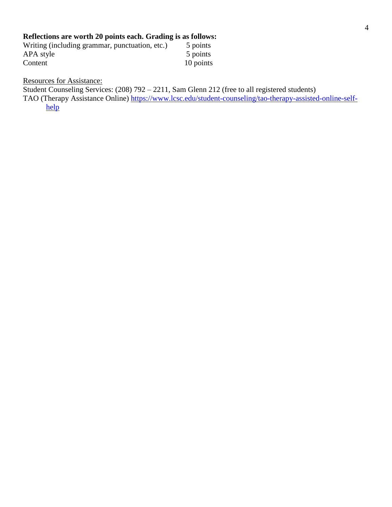# **Reflections are worth 20 points each. Grading is as follows:**

| Writing (including grammar, punctuation, etc.) | 5 points  |
|------------------------------------------------|-----------|
| APA style                                      | 5 points  |
| Content                                        | 10 points |

Resources for Assistance:

Student Counseling Services: (208) 792 – 2211, Sam Glenn 212 (free to all registered students)

TAO (Therapy Assistance Online) [https://www.lcsc.edu/student-counseling/tao-therapy-assisted-online-self](https://www.lcsc.edu/student-counseling/tao-therapy-assisted-online-self-help)[help](https://www.lcsc.edu/student-counseling/tao-therapy-assisted-online-self-help)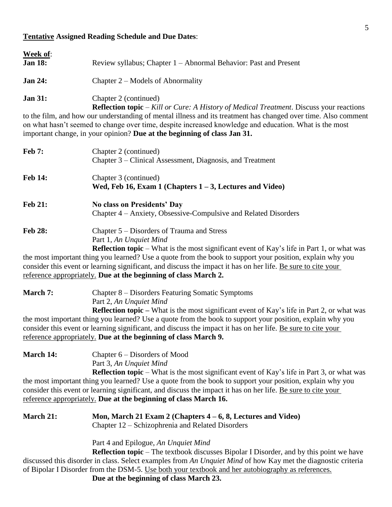### **Tentative Assigned Reading Schedule and Due Dates**:

| <b>Week of:</b><br><b>Jan 18:</b> | Review syllabus; Chapter 1 – Abnormal Behavior: Past and Present |
|-----------------------------------|------------------------------------------------------------------|
| <b>Jan 24:</b>                    | Chapter $2$ – Models of Abnormality                              |
| <b>Jan 31:</b>                    | Chapter 2 (continued)                                            |

**Reflection topic** – *Kill or Cure: A History of Medical Treatment*. Discuss your reactions to the film, and how our understanding of mental illness and its treatment has changed over time. Also comment on what hasn't seemed to change over time, despite increased knowledge and education. What is the most important change, in your opinion? **Due at the beginning of class Jan 31.**

| <b>Feb 7:</b>  | Chapter 2 (continued)<br>Chapter 3 – Clinical Assessment, Diagnosis, and Treatment                                                                                         |
|----------------|----------------------------------------------------------------------------------------------------------------------------------------------------------------------------|
| <b>Feb 14:</b> | Chapter 3 (continued)<br>Wed, Feb 16, Exam 1 (Chapters $1 - 3$ , Lectures and Video)                                                                                       |
| <b>Feb 21:</b> | No class on Presidents' Day<br>Chapter 4 – Anxiety, Obsessive-Compulsive and Related Disorders                                                                             |
| <b>Feb 28:</b> | Chapter 5 – Disorders of Trauma and Stress<br>Part 1, An Unquiet Mind<br><b>Reflection topic</b> – What is the most significant event of Kay's life in Part 1, or what was |
|                | the most important thing you learned? He a quote from the book to support your position explain why you                                                                    |

the most important thing you learned? Use a quote from the book to support your position, explain why you consider this event or learning significant, and discuss the impact it has on her life. Be sure to cite your reference appropriately. **Due at the beginning of class March 2.**

**March 7:** Chapter 8 – Disorders Featuring Somatic Symptoms Part 2, *An Unquiet Mind* **Reflection topic –** What is the most significant event of Kay's life in Part 2, or what was the most important thing you learned? Use a quote from the book to support your position, explain why you consider this event or learning significant, and discuss the impact it has on her life. Be sure to cite your

reference appropriately. **Due at the beginning of class March 9.**

| <b>March 14:</b> | Chapter $6$ – Disorders of Mood               |
|------------------|-----------------------------------------------|
|                  | Part 3, An Unquiet Mind                       |
|                  | <b>Reflection topic – What is the most si</b> |

lection topic – What is the most significant event of Kay's life in Part 3, or what was the most important thing you learned? Use a quote from the book to support your position, explain why you consider this event or learning significant, and discuss the impact it has on her life. Be sure to cite your reference appropriately. **Due at the beginning of class March 16.**

**March 21: Mon, March 21 Exam 2 (Chapters 4 – 6, 8, Lectures and Video)** Chapter 12 – Schizophrenia and Related Disorders

Part 4 and Epilogue, *An Unquiet Mind*

**Reflection topic** – The textbook discusses Bipolar I Disorder, and by this point we have discussed this disorder in class. Select examples from *An Unquiet Mind* of how Kay met the diagnostic criteria of Bipolar I Disorder from the DSM-5. Use both your textbook and her autobiography as references.

**Due at the beginning of class March 23.**